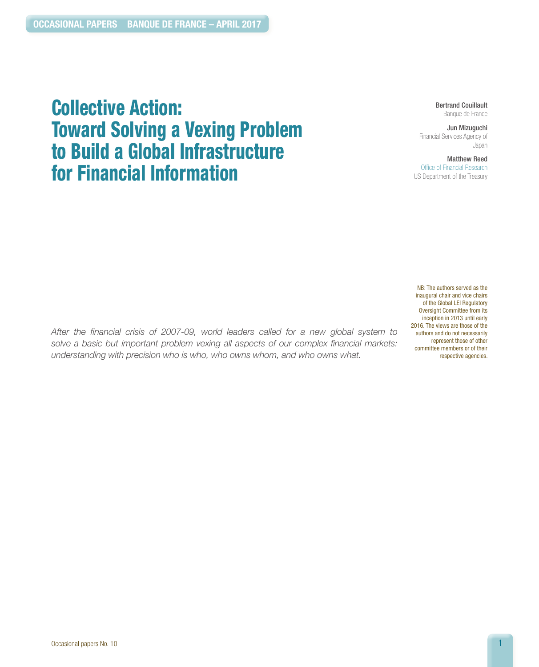# Collective Action: Toward Solving a Vexing Problem to Build a Global Infrastructure for Financial Information

Bertrand Couillault Banque de France

Jun Mizuguchi Financial Services Agency of Japan

Matthew Reed Office of Financial Research US Department of the Treasury

NB: The authors served as the inaugural chair and vice chairs of the Global LEI Regulatory Oversight Committee from its inception in 2013 until early 2016. The views are those of the authors and do not necessarily represent those of other committee members or of their respective agencies.

*After the financial crisis of 2007-09, world leaders called for a new global system to solve a basic but important problem vexing all aspects of our complex financial markets: understanding with precision who is who, who owns whom, and who owns what.*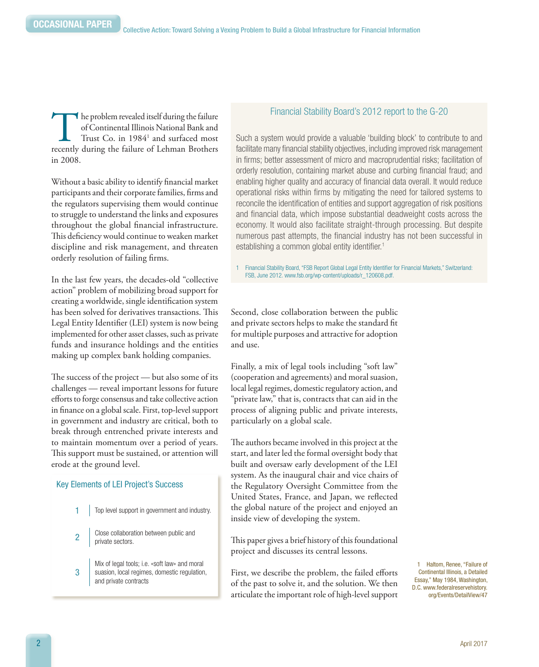In the problem revealed itself during the failure of Continental Illinois National Bank and Trust Co. in 1984<sup>1</sup> and surfaced most recently during the failure of Lehman Brothers of Continental Illinois National Bank and Trust  $Co.$  in  $1984<sup>1</sup>$  and surfaced most in 2008.

Without a basic ability to identify financial market participants and their corporate families, firms and the regulators supervising them would continue to struggle to understand the links and exposures throughout the global financial infrastructure. This deficiency would continue to weaken market discipline and risk management, and threaten orderly resolution of failing firms.

In the last few years, the decades-old "collective action" problem of mobilizing broad support for creating a worldwide, single identification system has been solved for derivatives transactions. This Legal Entity Identifier (LEI) system is now being implemented for other asset classes, such as private funds and insurance holdings and the entities making up complex bank holding companies.

The success of the project — but also some of its challenges — reveal important lessons for future efforts to forge consensus and take collective action in finance on a global scale. First, top-level support in government and industry are critical, both to break through entrenched private interests and to maintain momentum over a period of years. This support must be sustained, or attention will erode at the ground level.

#### Key Elements of LEI Project's Success

- 1 | Top level support in government and industry.
- 2 Close collaboration between public and private sectors.

3 Mix of legal tools; i.e. «soft law» and moral suasion, local regimes, domestic regulation, and private contracts

#### Financial Stability Board's 2012 report to the G-20

Such a system would provide a valuable 'building block' to contribute to and facilitate many financial stability objectives, including improved risk management in firms; better assessment of micro and macroprudential risks; facilitation of orderly resolution, containing market abuse and curbing financial fraud; and enabling higher quality and accuracy of financial data overall. It would reduce operational risks within firms by mitigating the need for tailored systems to reconcile the identification of entities and support aggregation of risk positions and financial data, which impose substantial deadweight costs across the economy. It would also facilitate straight-through processing. But despite numerous past attempts, the financial industry has not been successful in establishing a common global entity identifier.<sup>1</sup>

1 Financial Stability Board, "FSB Report Global Legal Entity Identifier for Financial Markets," Switzerland: FSB, June 2012. www.fsb.org/wp-content/uploads/r\_120608.pdf.

Second, close collaboration between the public and private sectors helps to make the standard fit for multiple purposes and attractive for adoption and use.

Finally, a mix of legal tools including "soft law" (cooperation and agreements) and moral suasion, local legal regimes, domestic regulatory action, and "private law," that is, contracts that can aid in the process of aligning public and private interests, particularly on a global scale.

The authors became involved in this project at the start, and later led the formal oversight body that built and oversaw early development of the LEI system. As the inaugural chair and vice chairs of the Regulatory Oversight Committee from the United States, France, and Japan, we reflected the global nature of the project and enjoyed an inside view of developing the system.

This paper gives a brief history of this foundational project and discusses its central lessons.

First, we describe the problem, the failed efforts of the past to solve it, and the solution. We then articulate the important role of high-level support

1 Haltom, Renee, "Failure of Continental Illinois, a Detailed Essay," May 1984, Washington, D.C. [www.federalreservehistory.](www.federalreservehistory.org/Events/DetailView/47) [org/Events/DetailView/47](www.federalreservehistory.org/Events/DetailView/47)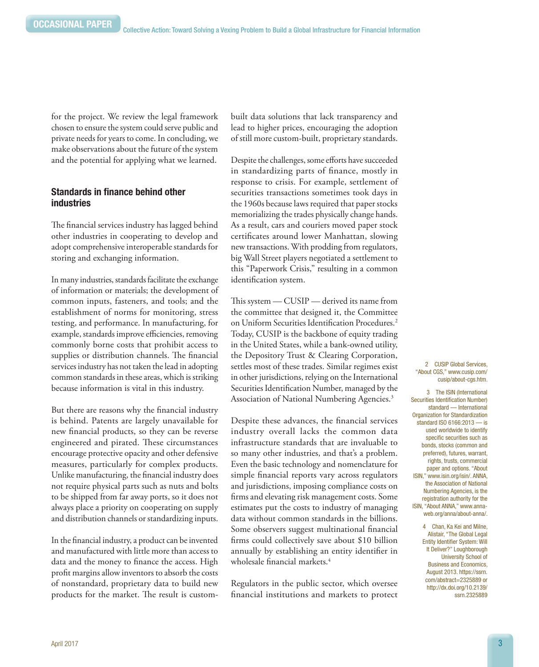for the project. We review the legal framework chosen to ensure the system could serve public and private needs for years to come. In concluding, we make observations about the future of the system and the potential for applying what we learned.

#### Standards in finance behind other industries

The financial services industry has lagged behind other industries in cooperating to develop and adopt comprehensive interoperable standards for storing and exchanging information.

In many industries, standards facilitate the exchange of information or materials; the development of common inputs, fasteners, and tools; and the establishment of norms for monitoring, stress testing, and performance. In manufacturing, for example, standards improve efficiencies, removing commonly borne costs that prohibit access to supplies or distribution channels. The financial services industry has not taken the lead in adopting common standards in these areas, which is striking because information is vital in this industry.

But there are reasons why the financial industry is behind. Patents are largely unavailable for new financial products, so they can be reverse engineered and pirated. These circumstances encourage protective opacity and other defensive measures, particularly for complex products. Unlike manufacturing, the financial industry does not require physical parts such as nuts and bolts to be shipped from far away ports, so it does not always place a priority on cooperating on supply and distribution channels or standardizing inputs.

In the financial industry, a product can be invented and manufactured with little more than access to data and the money to finance the access. High profit margins allow inventors to absorb the costs of nonstandard, proprietary data to build new products for the market. The result is custombuilt data solutions that lack transparency and lead to higher prices, encouraging the adoption of still more custom-built, proprietary standards.

Despite the challenges, some efforts have succeeded in standardizing parts of finance, mostly in response to crisis. For example, settlement of securities transactions sometimes took days in the 1960s because laws required that paper stocks memorializing the trades physically change hands. As a result, cars and couriers moved paper stock certificates around lower Manhattan, slowing new transactions. With prodding from regulators, big Wall Street players negotiated a settlement to this "Paperwork Crisis," resulting in a common identification system.

This system — CUSIP — derived its name from the committee that designed it, the Committee on Uniform Securities Identification Procedures.<sup>2</sup> Today, CUSIP is the backbone of equity trading in the United States, while a bank-owned utility, the Depository Trust & Clearing Corporation, settles most of these trades. Similar regimes exist in other jurisdictions, relying on the International Securities Identification Number, managed by the Association of National Numbering Agencies.<sup>3</sup>

Despite these advances, the financial services industry overall lacks the common data infrastructure standards that are invaluable to so many other industries, and that's a problem. Even the basic technology and nomenclature for simple financial reports vary across regulators and jurisdictions, imposing compliance costs on firms and elevating risk management costs. Some estimates put the costs to industry of managing data without common standards in the billions. Some observers suggest multinational financial firms could collectively save about \$10 billion annually by establishing an entity identifier in wholesale financial markets.<sup>4</sup>

Regulators in the public sector, which oversee financial institutions and markets to protect

2 CUSIP Global Services, "About CGS," [www.cusip.com/](www.cusip.com/cusip/about-cgs.htm) [cusip/about-cgs.htm](www.cusip.com/cusip/about-cgs.htm).

3 The ISIN (International Securities Identification Number) standard — International Organization for Standardization standard ISO 6166:2013 — is used worldwide to identify specific securities such as bonds, stocks (common and preferred), futures, warrant, rights, trusts, commercial paper and options. "About ISIN," www.isin.org/isin/. ANNA, the Association of National Numbering Agencies, is the registration authority for the ISIN, "About ANNA," [www.anna](www.anna-web.org/anna/about-anna/)[web.org/anna/about-anna/](www.anna-web.org/anna/about-anna/).

> 4 Chan, Ka Kei and Milne, Alistair, "The Global Legal Entity Identifier System: Will It Deliver?" Loughborough University School of Business and Economics, August 2013. [https://ssrn.](https://ssrn.com/abstract=2325889 or http://dx.doi.org/10.2139/ssrn.2325889 ) [com/abstract=2325889 or](https://ssrn.com/abstract=2325889 or http://dx.doi.org/10.2139/ssrn.2325889 )  [http://dx.doi.org/10.2139/](https://ssrn.com/abstract=2325889 or http://dx.doi.org/10.2139/ssrn.2325889 ) [ssrn.2325889](https://ssrn.com/abstract=2325889 or http://dx.doi.org/10.2139/ssrn.2325889 )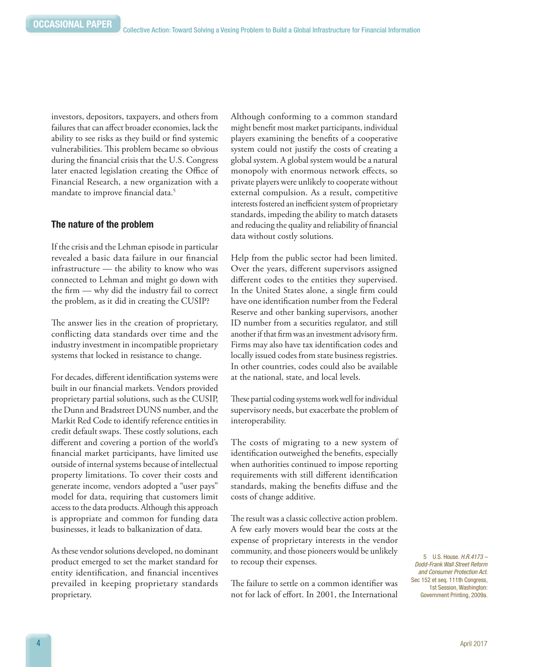investors, depositors, taxpayers, and others from failures that can affect broader economies, lack the ability to see risks as they build or find systemic vulnerabilities. This problem became so obvious during the financial crisis that the U.S. Congress later enacted legislation creating the Office of Financial Research, a new organization with a mandate to improve financial data.<sup>5</sup>

#### The nature of the problem

If the crisis and the Lehman episode in particular revealed a basic data failure in our financial infrastructure — the ability to know who was connected to Lehman and might go down with the firm — why did the industry fail to correct the problem, as it did in creating the CUSIP?

The answer lies in the creation of proprietary, conflicting data standards over time and the industry investment in incompatible proprietary systems that locked in resistance to change.

For decades, different identification systems were built in our financial markets. Vendors provided proprietary partial solutions, such as the CUSIP, the Dunn and Bradstreet DUNS number, and the Markit Red Code to identify reference entities in credit default swaps. These costly solutions, each different and covering a portion of the world's financial market participants, have limited use outside of internal systems because of intellectual property limitations. To cover their costs and generate income, vendors adopted a "user pays" model for data, requiring that customers limit access to the data products. Although this approach is appropriate and common for funding data businesses, it leads to balkanization of data.

As these vendor solutions developed, no dominant product emerged to set the market standard for entity identification, and financial incentives prevailed in keeping proprietary standards proprietary.

Although conforming to a common standard might benefit most market participants, individual players examining the benefits of a cooperative system could not justify the costs of creating a global system. A global system would be a natural monopoly with enormous network effects, so private players were unlikely to cooperate without external compulsion. As a result, competitive interests fostered an inefficient system of proprietary standards, impeding the ability to match datasets and reducing the quality and reliability of financial data without costly solutions.

Help from the public sector had been limited. Over the years, different supervisors assigned different codes to the entities they supervised. In the United States alone, a single firm could have one identification number from the Federal Reserve and other banking supervisors, another ID number from a securities regulator, and still another if that firm was an investment advisory firm. Firms may also have tax identification codes and locally issued codes from state business registries. In other countries, codes could also be available at the national, state, and local levels.

These partial coding systems work well for individual supervisory needs, but exacerbate the problem of interoperability.

The costs of migrating to a new system of identification outweighed the benefits, especially when authorities continued to impose reporting requirements with still different identification standards, making the benefits diffuse and the costs of change additive.

The result was a classic collective action problem. A few early movers would bear the costs at the expense of proprietary interests in the vendor community, and those pioneers would be unlikely to recoup their expenses.

The failure to settle on a common identifier was not for lack of effort. In 2001, the International

5 U.S. House. *H.R.4173 – Dodd-Frank Wall Street Reform and Consumer Protection Act*. Sec 152 et seq. 111th Congress, 1st Session, Washington: Government Printing, 2009a.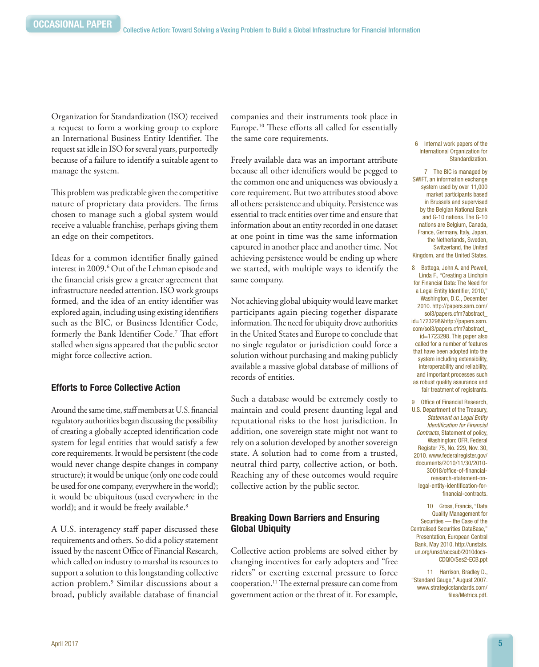Organization for Standardization (ISO) received a request to form a working group to explore an International Business Entity Identifier. The request sat idle in ISO for several years, purportedly because of a failure to identify a suitable agent to manage the system.

This problem was predictable given the competitive nature of proprietary data providers. The firms chosen to manage such a global system would receive a valuable franchise, perhaps giving them an edge on their competitors.

Ideas for a common identifier finally gained interest in 2009.6 Out of the Lehman episode and the financial crisis grew a greater agreement that infrastructure needed attention. ISO work groups formed, and the idea of an entity identifier was explored again, including using existing identifiers such as the BIC, or Business Identifier Code, formerly the Bank Identifier Code.7 That effort stalled when signs appeared that the public sector might force collective action.

### Efforts to Force Collective Action

Around the same time, staff members at U.S. financial regulatory authorities began discussing the possibility of creating a globally accepted identification code system for legal entities that would satisfy a few core requirements. It would be persistent (the code would never change despite changes in company structure); it would be unique (only one code could be used for one company, everywhere in the world); it would be ubiquitous (used everywhere in the world); and it would be freely available.<sup>8</sup>

A U.S. interagency staff paper discussed these requirements and others. So did a policy statement issued by the nascent Office of Financial Research, which called on industry to marshal its resources to support a solution to this longstanding collective action problem.9 Similar discussions about a broad, publicly available database of financial

companies and their instruments took place in Europe.10 These efforts all called for essentially the same core requirements.

Freely available data was an important attribute because all other identifiers would be pegged to the common one and uniqueness was obviously a core requirement. But two attributes stood above all others: persistence and ubiquity. Persistence was essential to track entities over time and ensure that information about an entity recorded in one dataset at one point in time was the same information captured in another place and another time. Not achieving persistence would be ending up where we started, with multiple ways to identify the same company.

Not achieving global ubiquity would leave market participants again piecing together disparate information. The need for ubiquity drove authorities in the United States and Europe to conclude that no single regulator or jurisdiction could force a solution without purchasing and making publicly available a massive global database of millions of records of entities.

Such a database would be extremely costly to maintain and could present daunting legal and reputational risks to the host jurisdiction. In addition, one sovereign state might not want to rely on a solution developed by another sovereign state. A solution had to come from a trusted, neutral third party, collective action, or both. Reaching any of these outcomes would require collective action by the public sector.

# Breaking Down Barriers and Ensuring Global Ubiquity

Collective action problems are solved either by changing incentives for early adopters and "free riders" or exerting external pressure to force cooperation.11 The external pressure can come from government action or the threat of it. For example,

#### 6 Internal work papers of the International Organization for Standardization.

7 The BIC is managed by SWIFT, an information exchange system used by over 11,000 market participants based in Brussels and supervised by the Belgian National Bank and G-10 nations. The G-10 nations are Belgium, Canada, France, Germany, Italy, Japan, the Netherlands, Sweden, Switzerland, the United Kingdom, and the United States.

8 Bottega, John A. and Powell, Linda F., "Creating a Linchpin for Financial Data: The Need for a Legal Entity Identifier, 2010," Washington, D.C., December 2010. [http://papers.ssrn.com/](http://papers.ssrn.com/sol3/papers.cfm?abstract_id=1723298&http://papers.ssrn.com/sol3/papers.cfm?abstract_id=1723298) [sol3/papers.cfm?abstract\\_](http://papers.ssrn.com/sol3/papers.cfm?abstract_id=1723298&http://papers.ssrn.com/sol3/papers.cfm?abstract_id=1723298) [id=1723298&http://papers.ssrn.](http://papers.ssrn.com/sol3/papers.cfm?abstract_id=1723298&http://papers.ssrn.com/sol3/papers.cfm?abstract_id=1723298) [com/sol3/papers.cfm?abstract\\_](http://papers.ssrn.com/sol3/papers.cfm?abstract_id=1723298&http://papers.ssrn.com/sol3/papers.cfm?abstract_id=1723298) [id=1723298](http://papers.ssrn.com/sol3/papers.cfm?abstract_id=1723298&http://papers.ssrn.com/sol3/papers.cfm?abstract_id=1723298). This paper also called for a number of features that have been adopted into the system including extensibility, interoperability and reliability, and important processes such as robust quality assurance and fair treatment of registrants.

9 Office of Financial Research, U.S. Department of the Treasury, *Statement on Legal Entity Identification for Financial Contracts*, Statement of policy, Washington: OFR, Federal Register 75, No. 229, Nov. 30, 2010. [www.federalregister.gov/](www.federalregister.gov/documents/2010/11/30/2010-30018/office-of-financial-research-statement-on-legal-entity-identification-for-financial-contracts) [documents/2010/11/30/2010-](www.federalregister.gov/documents/2010/11/30/2010-30018/office-of-financial-research-statement-on-legal-entity-identification-for-financial-contracts) [30018/office-of-financial](www.federalregister.gov/documents/2010/11/30/2010-30018/office-of-financial-research-statement-on-legal-entity-identification-for-financial-contracts)[research-statement-on](www.federalregister.gov/documents/2010/11/30/2010-30018/office-of-financial-research-statement-on-legal-entity-identification-for-financial-contracts)[legal-entity-identification-for](www.federalregister.gov/documents/2010/11/30/2010-30018/office-of-financial-research-statement-on-legal-entity-identification-for-financial-contracts)[financial-contracts.](www.federalregister.gov/documents/2010/11/30/2010-30018/office-of-financial-research-statement-on-legal-entity-identification-for-financial-contracts) 

10 Gross, Francis, "Data Quality Management for Securities — the Case of the Centralised Securities DataBase," Presentation, European Central Bank, May 2010. [http://unstats.](http://unstats.un.org/unsd/accsub/2010docs-CDQIO/Ses2-ECB.ppt
) [un.org/unsd/accsub/2010docs-](http://unstats.un.org/unsd/accsub/2010docs-CDQIO/Ses2-ECB.ppt
)[CDQIO/Ses2-ECB.ppt](http://unstats.un.org/unsd/accsub/2010docs-CDQIO/Ses2-ECB.ppt
)

11 Harrison, Bradley D., "Standard Gauge," August 2007. [www.strategicstandards.com/](www.strategicstandards.com/files/Metrics.pdf) [files/Metrics.pdf.](www.strategicstandards.com/files/Metrics.pdf)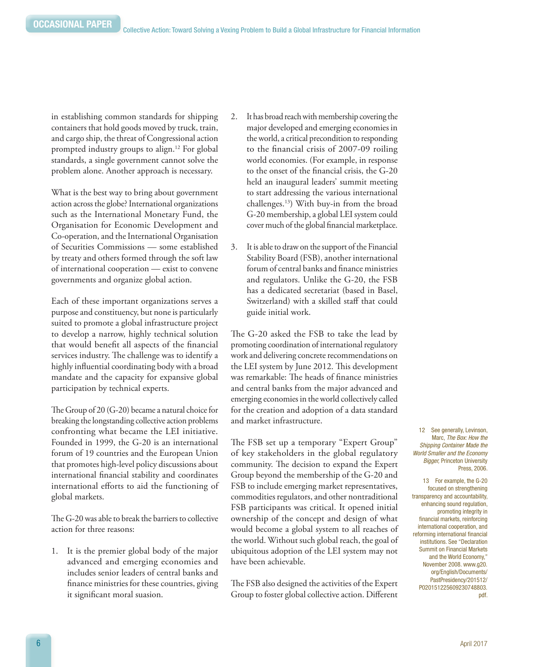in establishing common standards for shipping containers that hold goods moved by truck, train, and cargo ship, the threat of Congressional action prompted industry groups to align.<sup>12</sup> For global standards, a single government cannot solve the problem alone. Another approach is necessary.

What is the best way to bring about government action across the globe? International organizations such as the International Monetary Fund, the Organisation for Economic Development and Co-operation, and the International Organisation of Securities Commissions — some established by treaty and others formed through the soft law of international cooperation — exist to convene governments and organize global action.

Each of these important organizations serves a purpose and constituency, but none is particularly suited to promote a global infrastructure project to develop a narrow, highly technical solution that would benefit all aspects of the financial services industry. The challenge was to identify a highly influential coordinating body with a broad mandate and the capacity for expansive global participation by technical experts.

The Group of 20 (G-20) became a natural choice for breaking the longstanding collective action problems confronting what became the LEI initiative. Founded in 1999, the G-20 is an international forum of 19 countries and the European Union that promotes high-level policy discussions about international financial stability and coordinates international efforts to aid the functioning of global markets.

The G-20 was able to break the barriers to collective action for three reasons:

1. It is the premier global body of the major advanced and emerging economies and includes senior leaders of central banks and finance ministries for these countries, giving it significant moral suasion.

- 2. It has broad reach with membership covering the major developed and emerging economies in the world, a critical precondition to responding to the financial crisis of 2007-09 roiling world economies. (For example, in response to the onset of the financial crisis, the G-20 held an inaugural leaders' summit meeting to start addressing the various international challenges.13) With buy-in from the broad G-20 membership, a global LEI system could cover much of the global financial marketplace.
- 3. It is able to draw on the support of the Financial Stability Board (FSB), another international forum of central banks and finance ministries and regulators. Unlike the G-20, the FSB has a dedicated secretariat (based in Basel, Switzerland) with a skilled staff that could guide initial work.

The G-20 asked the FSB to take the lead by promoting coordination of international regulatory work and delivering concrete recommendations on the LEI system by June 2012. This development was remarkable: The heads of finance ministries and central banks from the major advanced and emerging economies in the world collectively called for the creation and adoption of a data standard and market infrastructure.

The FSB set up a temporary "Expert Group" of key stakeholders in the global regulatory community. The decision to expand the Expert Group beyond the membership of the G-20 and FSB to include emerging market representatives, commodities regulators, and other nontraditional FSB participants was critical. It opened initial ownership of the concept and design of what would become a global system to all reaches of the world. Without such global reach, the goal of ubiquitous adoption of the LEI system may not have been achievable.

The FSB also designed the activities of the Expert Group to foster global collective action. Different

12 See generally, Levinson, Marc, *The Box: How the Shipping Container Made the World Smaller and the Economy Bigger,* Princeton University Press, 2006.

13 For example, the G-20 focused on strengthening transparency and accountability, enhancing sound regulation, promoting integrity in financial markets, reinforcing international cooperation, and reforming international financial institutions. See "Declaration Summit on Financial Markets and the World Economy," November 2008. [www.g20.](www.g20.org/English/Documents/PastPresidency/201512/P020151225609230748803.pdf) [org/English/Documents/](www.g20.org/English/Documents/PastPresidency/201512/P020151225609230748803.pdf) [PastPresidency/201512/](www.g20.org/English/Documents/PastPresidency/201512/P020151225609230748803.pdf) [P020151225609230748803.](www.g20.org/English/Documents/PastPresidency/201512/P020151225609230748803.pdf) [pdf.](www.g20.org/English/Documents/PastPresidency/201512/P020151225609230748803.pdf)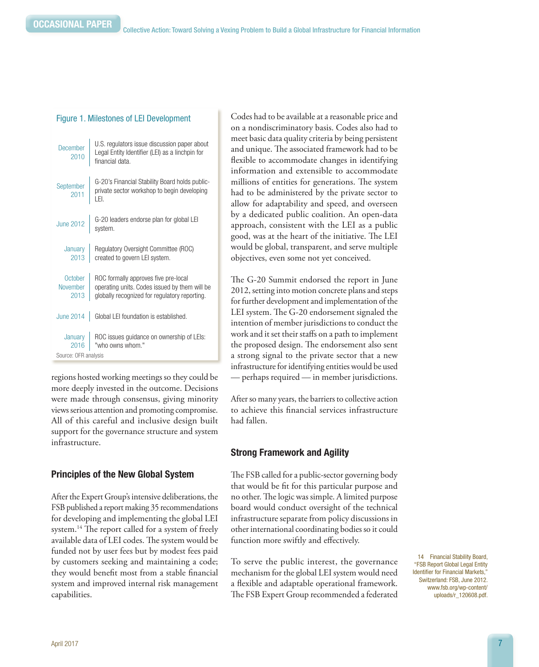|                             | December U.S. regulators issue discussion paper about<br>2010 Legal Entity Identifier (LEI) as a linchpin for<br>financial data.       |
|-----------------------------|----------------------------------------------------------------------------------------------------------------------------------------|
|                             | September G-20's Financial Stability Board holds public-<br>2011   private sector workshop to begin developing<br>LEI.                 |
|                             | June 2012 $\Big $ G-20 leaders endorse plan for global LEI<br>system.                                                                  |
|                             | January Regulatory Oversight Committee (ROC)<br>2013 created to govern LEI system.                                                     |
| October<br>November<br>2013 | ROC formally approves five pre-local<br>operating units. Codes issued by them will be<br>globally recognized for regulatory reporting. |

June 2014 Global LEI foundation is established.

"who owns whom."

Figure 1. Milestones of LEI Development

regions hosted working meetings so they could be more deeply invested in the outcome. Decisions were made through consensus, giving minority views serious attention and promoting compromise. All of this careful and inclusive design built support for the governance structure and system Source: OFR analysis

ROC issues guidance on ownership of LEIs:

# Principles of the New Global System

After the Expert Group's intensive deliberations, the FSB published a report making 35 recommendations for developing and implementing the global LEI system.<sup>14</sup> The report called for a system of freely available data of LEI codes. The system would be funded not by user fees but by modest fees paid by customers seeking and maintaining a code; they would benefit most from a stable financial system and improved internal risk management capabilities.

Codes had to be available at a reasonable price and on a nondiscriminatory basis. Codes also had to meet basic data quality criteria by being persistent and unique. The associated framework had to be flexible to accommodate changes in identifying information and extensible to accommodate millions of entities for generations. The system had to be administered by the private sector to allow for adaptability and speed, and overseen by a dedicated public coalition. An open-data approach, consistent with the LEI as a public good, was at the heart of the initiative. The LEI would be global, transparent, and serve multiple objectives, even some not yet conceived.

The G-20 Summit endorsed the report in June 2012, setting into motion concrete plans and steps for further development and implementation of the LEI system. The G-20 endorsement signaled the intention of member jurisdictions to conduct the work and it set their staffs on a path to implement the proposed design. The endorsement also sent a strong signal to the private sector that a new infrastructure for identifying entities would be used — perhaps required — in member jurisdictions.

After so many years, the barriers to collective action to achieve this financial services infrastructure had fallen.

# Strong Framework and Agility

The FSB called for a public-sector governing body that would be fit for this particular purpose and no other. The logic was simple. A limited purpose board would conduct oversight of the technical infrastructure separate from policy discussions in other international coordinating bodies so it could function more swiftly and effectively.

To serve the public interest, the governance mechanism for the global LEI system would need a flexible and adaptable operational framework. The FSB Expert Group recommended a federated

14 Financial Stability Board, "FSB Report Global Legal Entity Identifier for Financial Markets," Switzerland: FSB, June 2012. [www.fsb.org/wp-content/](www.fsb.org/wp-content/uploads/r_120608.pdf) [uploads/r\\_120608.pdf.](www.fsb.org/wp-content/uploads/r_120608.pdf)

infrastructure.

**January** 2016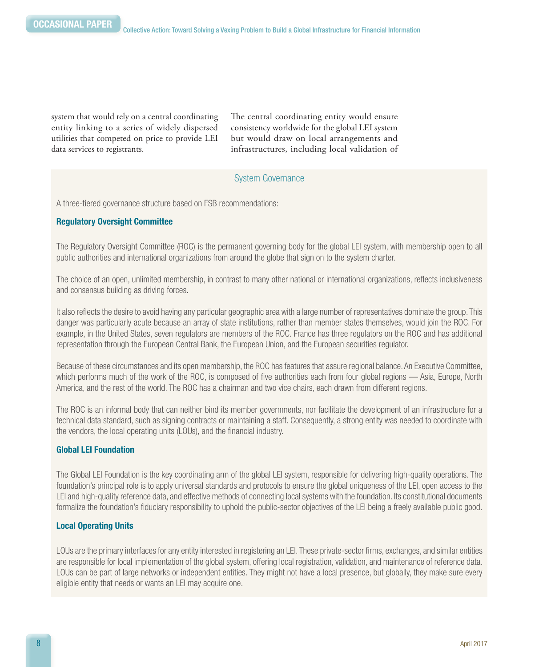system that would rely on a central coordinating entity linking to a series of widely dispersed utilities that competed on price to provide LEI data services to registrants.

The central coordinating entity would ensure consistency worldwide for the global LEI system but would draw on local arrangements and infrastructures, including local validation of

### System Governance

A three-tiered governance structure based on FSB recommendations:

#### Regulatory Oversight Committee

The Regulatory Oversight Committee (ROC) is the permanent governing body for the global LEI system, with membership open to all public authorities and international organizations from around the globe that sign on to the system charter.

The choice of an open, unlimited membership, in contrast to many other national or international organizations, reflects inclusiveness and consensus building as driving forces.

It also reflects the desire to avoid having any particular geographic area with a large number of representatives dominate the group. This danger was particularly acute because an array of state institutions, rather than member states themselves, would join the ROC. For example, in the United States, seven regulators are members of the ROC. France has three regulators on the ROC and has additional representation through the European Central Bank, the European Union, and the European securities regulator.

Because of these circumstances and its open membership, the ROC has features that assure regional balance. An Executive Committee, which performs much of the work of the ROC, is composed of five authorities each from four global regions — Asia, Europe, North America, and the rest of the world. The ROC has a chairman and two vice chairs, each drawn from different regions.

The ROC is an informal body that can neither bind its member governments, nor facilitate the development of an infrastructure for a technical data standard, such as signing contracts or maintaining a staff. Consequently, a strong entity was needed to coordinate with the vendors, the local operating units (LOUs), and the financial industry.

#### Global LEI Foundation

The Global LEI Foundation is the key coordinating arm of the global LEI system, responsible for delivering high-quality operations. The foundation's principal role is to apply universal standards and protocols to ensure the global uniqueness of the LEI, open access to the LEI and high-quality reference data, and effective methods of connecting local systems with the foundation. Its constitutional documents formalize the foundation's fiduciary responsibility to uphold the public-sector objectives of the LEI being a freely available public good.

#### Local Operating Units

LOUs are the primary interfaces for any entity interested in registering an LEI. These private-sector firms, exchanges, and similar entities are responsible for local implementation of the global system, offering local registration, validation, and maintenance of reference data. LOUs can be part of large networks or independent entities. They might not have a local presence, but globally, they make sure every eligible entity that needs or wants an LEI may acquire one.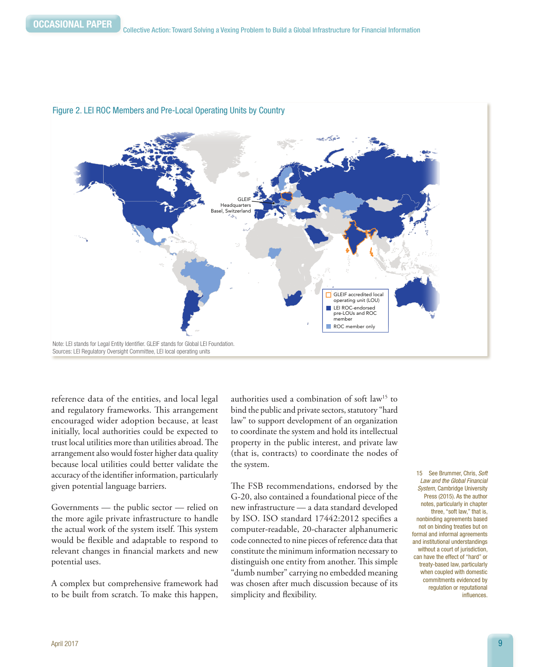

#### Figure 2. LEI ROC Members and Pre-Local Operating Units by Country

reference data of the entities, and local legal and regulatory frameworks. This arrangement encouraged wider adoption because, at least initially, local authorities could be expected to trust local utilities more than utilities abroad. The arrangement also would foster higher data quality because local utilities could better validate the accuracy of the identifier information, particularly given potential language barriers.

Governments — the public sector — relied on the more agile private infrastructure to handle the actual work of the system itself. This system would be flexible and adaptable to respond to relevant changes in financial markets and new potential uses.

A complex but comprehensive framework had to be built from scratch. To make this happen,

authorities used a combination of soft law15 to bind the public and private sectors, statutory "hard law" to support development of an organization to coordinate the system and hold its intellectual property in the public interest, and private law (that is, contracts) to coordinate the nodes of the system.

The FSB recommendations, endorsed by the G-20, also contained a foundational piece of the new infrastructure — a data standard developed by ISO. ISO standard 17442:2012 specifies a computer-readable, 20-character alphanumeric code connected to nine pieces of reference data that constitute the minimum information necessary to distinguish one entity from another. This simple "dumb number" carrying no embedded meaning was chosen after much discussion because of its simplicity and flexibility.

15 See Brummer, Chris, *Soft Law and the Global Financial System*, Cambridge University Press (2015). As the author notes, particularly in chapter three, "soft law," that is, nonbinding agreements based not on binding treaties but on formal and informal agreements and institutional understandings without a court of jurisdiction, can have the effect of "hard" or treaty-based law, particularly when coupled with domestic commitments evidenced by regulation or reputational influences.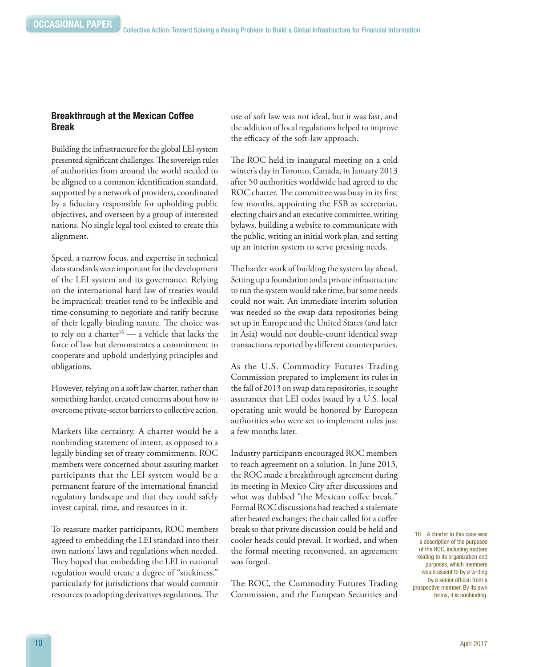#### Breakthrough at the Mexican Coffee Break

Building the infrastructure for the global LEI system presented significant challenges. The sovereign rules of authorities from around the world needed to be aligned to a common identification standard, supported by a network of providers, coordinated by a fiduciary responsible for upholding public objectives, and overseen by a group of interested nations. No single legal tool existed to create this alignment.

Speed, a narrow focus, and expertise in technical data standards were important for the development of the LEI system and its governance. Relying on the international hard law of treaties would be impractical; treaties tend to be inflexible and time-consuming to negotiate and ratify because of their legally binding nature. The choice was to rely on a charter<sup>16</sup> — a vehicle that lacks the force of law but demonstrates a commitment to cooperate and uphold underlying principles and obligations.

However, relying on a soft law charter, rather than something harder, created concerns about how to overcome private-sector barriers to collective action.

Markets like certainty. A charter would be a nonbinding statement of intent, as opposed to a legally binding set of treaty commitments. ROC members were concerned about assuring market participants that the LEI system would be a permanent feature of the international financial regulatory landscape and that they could safely invest capital, time, and resources in it.

To reassure market participants, ROC members agreed to embedding the LEI standard into their own nations' laws and regulations when needed. They hoped that embedding the LEI in national regulation would create a degree of "stickiness," particularly for jurisdictions that would commit resources to adopting derivatives regulations. The

use of soft law was not ideal, but it was fast, and the addition of local regulations helped to improve the efficacy of the soft-law approach.

The ROC held its inaugural meeting on a cold winter's day in Toronto, Canada, in January 2013 after 50 authorities worldwide had agreed to the ROC charter. The committee was busy in its first few months, appointing the FSB as secretariat, electing chairs and an executive committee, writing bylaws, building a website to communicate with the public, writing an initial work plan, and setting up an interim system to serve pressing needs.

The harder work of building the system lay ahead. Setting up a foundation and a private infrastructure to run the system would take time, but some needs could not wait. An immediate interim solution was needed so the swap data repositories being set up in Europe and the United States (and later in Asia) would not double-count identical swap transactions reported by different counterparties.

As the U.S. Commodity Futures Trading Commission prepared to implement its rules in the fall of 2013 on swap data repositories, it sought assurances that LEI codes issued by a U.S. local operating unit would be honored by European authorities who were set to implement rules just a few months later.

Industry participants encouraged ROC members to reach agreement on a solution. In June 2013, the ROC made a breakthrough agreement during its meeting in Mexico City after discussions and what was dubbed "the Mexican coffee break." Formal ROC discussions had reached a stalemate after heated exchanges; the chair called for a coffee break so that private discussion could be held and cooler heads could prevail. It worked, and when the formal meeting reconvened, an agreement was forged.

The ROC, the Commodity Futures Trading Commission, and the European Securities and

16 A charter in this case was a description of the purposes of the ROC, including matters relating to its organization and purposes, which members would assent to by a writing by a senior official from a prospective member. By its own terms, it is nonbinding.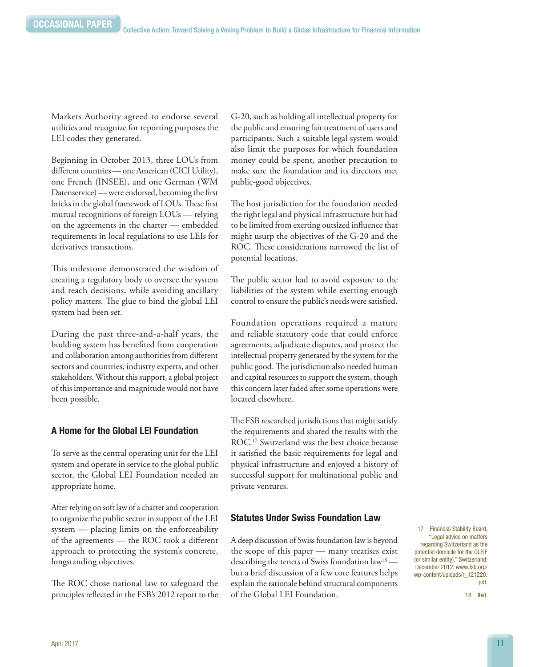Markets Authority agreed to endorse several utilities and recognize for reporting purposes the LEI codes they generated.

Beginning in October 2013, three LOUs from different countries — one American (CICI Utility), one French (INSEE), and one German (WM Datenservice) — were endorsed, becoming the first bricks in the global framework of LOUs. These first mutual recognitions of foreign LOUs — relying on the agreements in the charter — embedded requirements in local regulations to use LEIs for derivatives transactions.

This milestone demonstrated the wisdom of creating a regulatory body to oversee the system and reach decisions, while avoiding ancillary policy matters. The glue to bind the global LEI system had been set.

During the past three-and-a-half years, the budding system has benefited from cooperation and collaboration among authorities from different sectors and countries, industry experts, and other stakeholders. Without this support, a global project of this importance and magnitude would not have been possible.

#### A Home for the Global LEI Foundation

To serve as the central operating unit for the LEI system and operate in service to the global public sector, the Global LEI Foundation needed an appropriate home.

After relying on soft law of a charter and cooperation to organize the public sector in support of the LEI system — placing limits on the enforceability of the agreements — the ROC took a different approach to protecting the system's concrete, longstanding objectives.

The ROC chose national law to safeguard the principles reflected in the FSB's 2012 report to the

G-20, such as holding all intellectual property for the public and ensuring fair treatment of users and participants. Such a suitable legal system would also limit the purposes for which foundation money could be spent, another precaution to make sure the foundation and its directors met public-good objectives.

The host jurisdiction for the foundation needed the right legal and physical infrastructure but had to be limited from exerting outsized influence that might usurp the objectives of the G-20 and the ROC. These considerations narrowed the list of potential locations.

The public sector had to avoid exposure to the liabilities of the system while exerting enough control to ensure the public's needs were satisfied.

Foundation operations required a mature and reliable statutory code that could enforce agreements, adjudicate disputes, and protect the intellectual property generated by the system for the public good. The jurisdiction also needed human and capital resources to support the system, though this concern later faded after some operations were located elsewhere.

The FSB researched jurisdictions that might satisfy the requirements and shared the results with the ROC.17 Switzerland was the best choice because it satisfied the basic requirements for legal and physical infrastructure and enjoyed a history of successful support for multinational public and private ventures.

#### Statutes Under Swiss Foundation Law

A deep discussion of Swiss foundation law is beyond the scope of this paper — many treatises exist describing the tenets of Swiss foundation law<sup>18</sup> but a brief discussion of a few core features helps explain the rationale behind structural components of the Global LEI Foundation.

17 Financial Stability Board, "Legal advice on matters regarding Switzerland as the potential domicile for the GLEIF (or similar entity)," Switzerland: December 2012. [www.fsb.org/](www.fsb.org/wp-content/uploads/r_121220.pdf) [wp-content/uploads/r\\_121220.](www.fsb.org/wp-content/uploads/r_121220.pdf) [pdf.](www.fsb.org/wp-content/uploads/r_121220.pdf) 

18 Ibid.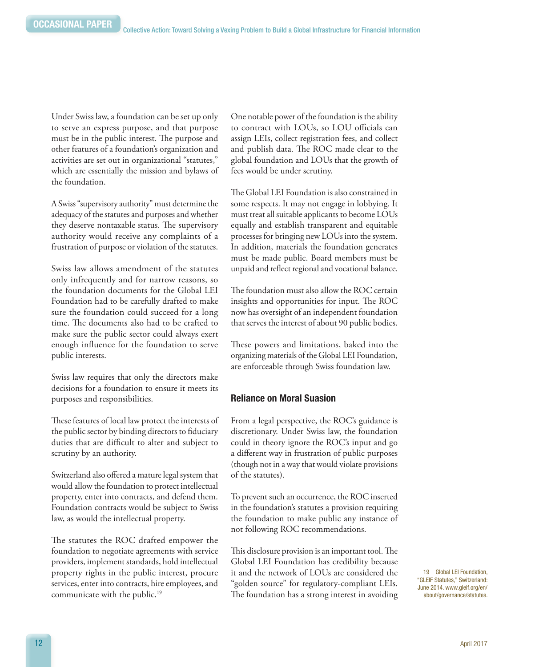Under Swiss law, a foundation can be set up only to serve an express purpose, and that purpose must be in the public interest. The purpose and other features of a foundation's organization and activities are set out in organizational "statutes," which are essentially the mission and bylaws of the foundation.

A Swiss "supervisory authority" must determine the adequacy of the statutes and purposes and whether they deserve nontaxable status. The supervisory authority would receive any complaints of a frustration of purpose or violation of the statutes.

Swiss law allows amendment of the statutes only infrequently and for narrow reasons, so the foundation documents for the Global LEI Foundation had to be carefully drafted to make sure the foundation could succeed for a long time. The documents also had to be crafted to make sure the public sector could always exert enough influence for the foundation to serve public interests.

Swiss law requires that only the directors make decisions for a foundation to ensure it meets its purposes and responsibilities.

These features of local law protect the interests of the public sector by binding directors to fiduciary duties that are difficult to alter and subject to scrutiny by an authority.

Switzerland also offered a mature legal system that would allow the foundation to protect intellectual property, enter into contracts, and defend them. Foundation contracts would be subject to Swiss law, as would the intellectual property.

The statutes the ROC drafted empower the foundation to negotiate agreements with service providers, implement standards, hold intellectual property rights in the public interest, procure services, enter into contracts, hire employees, and communicate with the public.<sup>19</sup>

One notable power of the foundation is the ability to contract with LOUs, so LOU officials can assign LEIs, collect registration fees, and collect and publish data. The ROC made clear to the global foundation and LOUs that the growth of fees would be under scrutiny.

The Global LEI Foundation is also constrained in some respects. It may not engage in lobbying. It must treat all suitable applicants to become LOUs equally and establish transparent and equitable processes for bringing new LOUs into the system. In addition, materials the foundation generates must be made public. Board members must be unpaid and reflect regional and vocational balance.

The foundation must also allow the ROC certain insights and opportunities for input. The ROC now has oversight of an independent foundation that serves the interest of about 90 public bodies.

These powers and limitations, baked into the organizing materials of the Global LEI Foundation, are enforceable through Swiss foundation law.

#### Reliance on Moral Suasion

From a legal perspective, the ROC's guidance is discretionary. Under Swiss law, the foundation could in theory ignore the ROC's input and go a different way in frustration of public purposes (though not in a way that would violate provisions of the statutes).

To prevent such an occurrence, the ROC inserted in the foundation's statutes a provision requiring the foundation to make public any instance of not following ROC recommendations.

This disclosure provision is an important tool. The Global LEI Foundation has credibility because it and the network of LOUs are considered the "golden source" for regulatory-compliant LEIs. The foundation has a strong interest in avoiding

19 Global LEI Foundation, "GLEIF Statutes," Switzerland: June 2014. [www.gleif.org/en/](www.gleif.org/en/about/governance/statutes) [about/governance/statutes.](www.gleif.org/en/about/governance/statutes)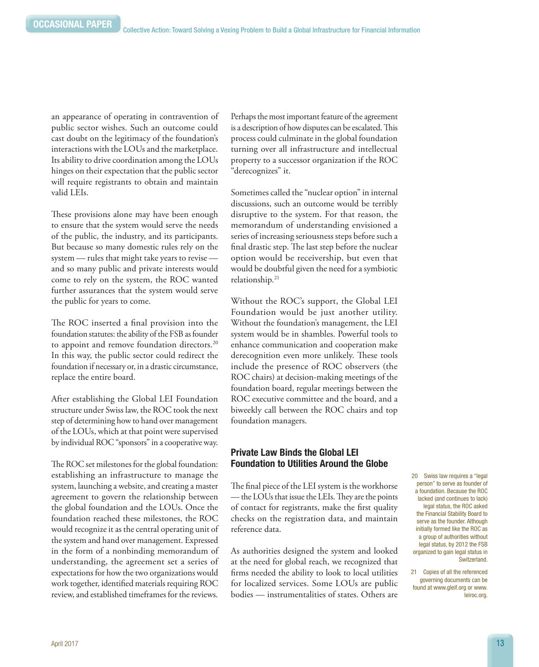an appearance of operating in contravention of public sector wishes. Such an outcome could cast doubt on the legitimacy of the foundation's interactions with the LOUs and the marketplace. Its ability to drive coordination among the LOUs hinges on their expectation that the public sector will require registrants to obtain and maintain valid LEIs.

These provisions alone may have been enough to ensure that the system would serve the needs of the public, the industry, and its participants. But because so many domestic rules rely on the system — rules that might take years to revise and so many public and private interests would come to rely on the system, the ROC wanted further assurances that the system would serve the public for years to come.

The ROC inserted a final provision into the foundation statutes: the ability of the FSB as founder to appoint and remove foundation directors.<sup>20</sup> In this way, the public sector could redirect the foundation if necessary or, in a drastic circumstance, replace the entire board.

After establishing the Global LEI Foundation structure under Swiss law, the ROC took the next step of determining how to hand over management of the LOUs, which at that point were supervised by individual ROC "sponsors" in a cooperative way.

The ROC set milestones for the global foundation: establishing an infrastructure to manage the system, launching a website, and creating a master agreement to govern the relationship between the global foundation and the LOUs. Once the foundation reached these milestones, the ROC would recognize it as the central operating unit of the system and hand over management. Expressed in the form of a nonbinding memorandum of understanding, the agreement set a series of expectations for how the two organizations would work together, identified materials requiring ROC review, and established timeframes for the reviews.

Perhaps the most important feature of the agreement is a description of how disputes can be escalated. This process could culminate in the global foundation turning over all infrastructure and intellectual property to a successor organization if the ROC "derecognizes" it.

Sometimes called the "nuclear option" in internal discussions, such an outcome would be terribly disruptive to the system. For that reason, the memorandum of understanding envisioned a series of increasing seriousness steps before such a final drastic step. The last step before the nuclear option would be receivership, but even that would be doubtful given the need for a symbiotic relationship.21

Without the ROC's support, the Global LEI Foundation would be just another utility. Without the foundation's management, the LEI system would be in shambles. Powerful tools to enhance communication and cooperation make derecognition even more unlikely. These tools include the presence of ROC observers (the ROC chairs) at decision-making meetings of the foundation board, regular meetings between the ROC executive committee and the board, and a biweekly call between the ROC chairs and top foundation managers.

### Private Law Binds the Global LEI Foundation to Utilities Around the Globe

The final piece of the LEI system is the workhorse — the LOUs that issue the LEIs. They are the points of contact for registrants, make the first quality checks on the registration data, and maintain reference data.

As authorities designed the system and looked at the need for global reach, we recognized that firms needed the ability to look to local utilities for localized services. Some LOUs are public bodies — instrumentalities of states. Others are

20 Swiss law requires a "legal person" to serve as founder of a foundation. Because the ROC lacked (and continues to lack) legal status, the ROC asked the Financial Stability Board to serve as the founder. Although initially formed like the ROC as a group of authorities without legal status, by 2012 the FSB organized to gain legal status in Switzerland.

21 Copies of all the referenced governing documents can be found at www.gleif.org or [www.](www.leiroc.org) [leiroc.org.](www.leiroc.org)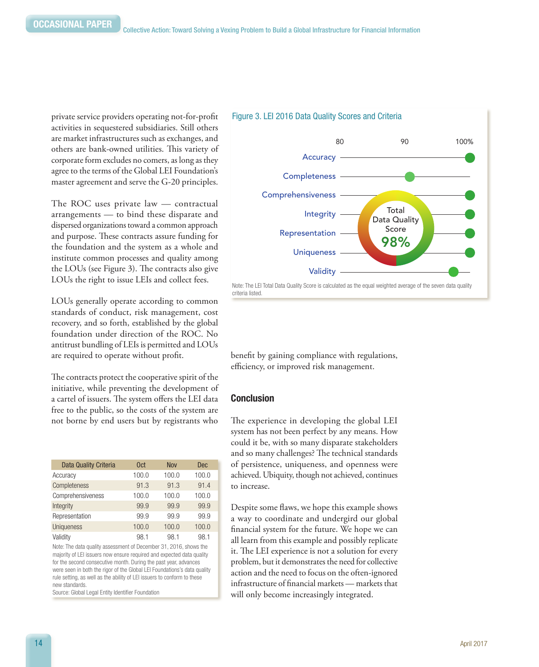private service providers operating not-for-profit activities in sequestered subsidiaries. Still others are market infrastructures such as exchanges, and others are bank-owned utilities. This variety of corporate form excludes no comers, as long as they agree to the terms of the Global LEI Foundation's master agreement and serve the G-20 principles.

The ROC uses private law — contractual arrangements — to bind these disparate and dispersed organizations toward a common approach and purpose. These contracts assure funding for the foundation and the system as a whole and institute common processes and quality among the LOUs (see Figure 3). The contracts also give LOUs the right to issue LEIs and collect fees.

LOUs generally operate according to common standards of conduct, risk management, cost recovery, and so forth, established by the global foundation under direction of the ROC. No antitrust bundling of LEIs is permitted and LOUs are required to operate without profit.

The contracts protect the cooperative spirit of the initiative, while preventing the development of a cartel of issuers. The system offers the LEI data free to the public, so the costs of the system are not borne by end users but by registrants who

| Data Quality Criteria | 0 <sub>ct</sub> | <b>Nov</b> | <b>Dec</b> |
|-----------------------|-----------------|------------|------------|
| Accuracy              | 100.0           | 100.0      | 100.0      |
| Completeness          | 91.3            | 91.3       | 91.4       |
| Comprehensiveness     | 100.0           | 100.0      | 100.0      |
| Integrity             | 99.9            | 99.9       | 99.9       |
| Representation        | 99.9            | 99.9       | 99.9       |
| Uniqueness            | 100.0           | 100.0      | 100.0      |
| Validity              | 98.1            | 98.1       | 98.1       |

Note: The data quality assessment of December 31, 2016, shows the majority of LEI issuers now ensure required and expected data quality for the second consecutive month. During the past year, advances were seen in both the rigor of the Global LEI Foundations's data quality rule setting, as well as the ability of LEI issuers to conform to these new standards.

Source: Global Legal Entity Identifier Foundation





benefit by gaining compliance with regulations, efficiency, or improved risk management.

#### Conclusion

The experience in developing the global LEI system has not been perfect by any means. How could it be, with so many disparate stakeholders and so many challenges? The technical standards of persistence, uniqueness, and openness were achieved. Ubiquity, though not achieved, continues to increase.

Despite some flaws, we hope this example shows a way to coordinate and undergird our global financial system for the future. We hope we can all learn from this example and possibly replicate it. The LEI experience is not a solution for every problem, but it demonstrates the need for collective action and the need to focus on the often-ignored infrastructure of financial markets — markets that will only become increasingly integrated.